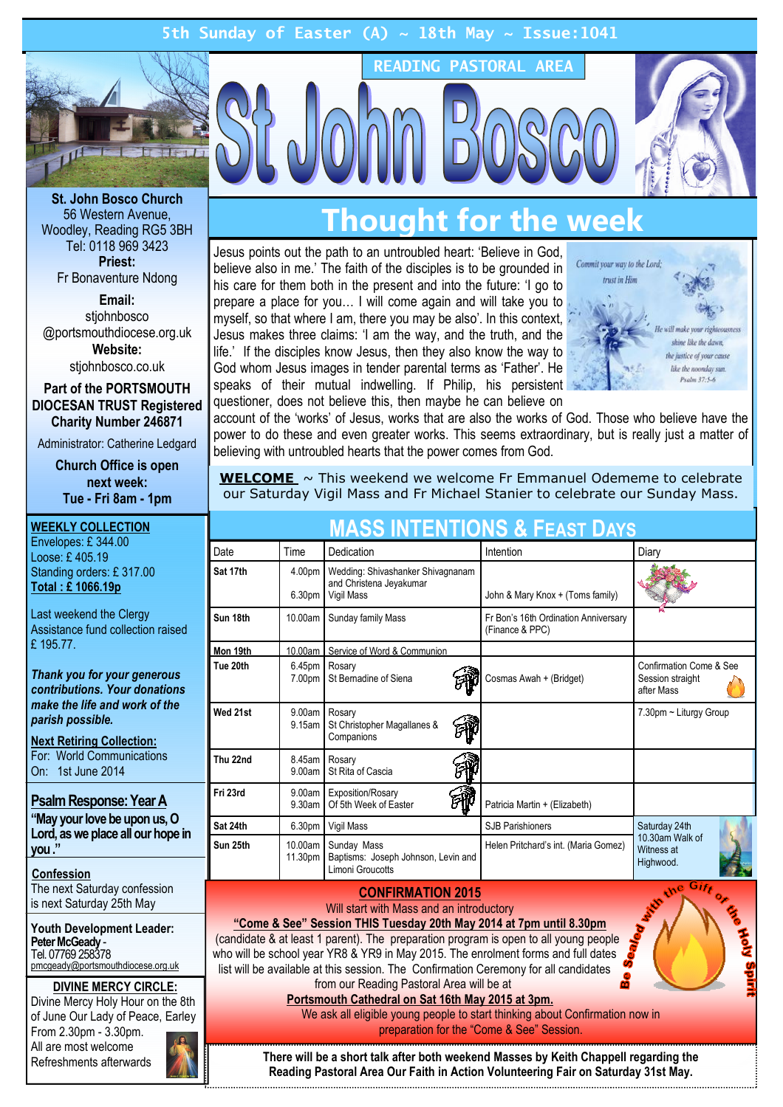# 5th Sunday of Easter (A)  $\sim$  18th May  $\sim$  Issue:1041



St. John Bosco Church 56 Western Avenue, Woodley, Reading RG5 3BH Tel: 0118 969 3423 Priest: Fr Bonaventure Ndong

Email:

stiohnbosco @portsmouthdiocese.org.uk Website:

stjohnbosco.co.uk

Part of the PORTSMOUTH DIOCESAN TRUST Registered Charity Number 246871

Administrator: Catherine Ledgard

Church Office is open next week: Tue - Fri 8am - 1pm

WEEKLY COLLECTION Envelopes: £ 344.00 Loose: £ 405.19 Standing orders: £ 317.00 Total : £ 1066.19p Last weekend the Clergy Assistance fund collection raised £ 195.77. Thank you for your generous contributions. Your donations make the life and work of the parish possible. Next Retiring Collection: For: World Communications On: 1st June 2014 Psalm Response: Year A "May your love be upon us, O Lord, as we place all our hope in you ." Confession The next Saturday confession is next Saturday 25th May Youth Development Leader: Peter McGeady - Tel. 07769 258378 pmcgeady@portsmouthdiocese.org.uk DIVINE MERCY CIRCLE: Divine Mercy Holy Hour on the 8th

of June Our Lady of Peace, Earley From 2.30pm - 3.30pm. All are most welcome Refreshments afterwards



# **Thought for the week**

READING PASTORAL AREA

Jesus points out the path to an untroubled heart: 'Believe in God, believe also in me.' The faith of the disciples is to be grounded in his care for them both in the present and into the future: 'I go to prepare a place for you… I will come again and will take you to myself, so that where I am, there you may be also'. In this context, Jesus makes three claims: 'I am the way, and the truth, and the life.' If the disciples know Jesus, then they also know the way to God whom Jesus images in tender parental terms as 'Father'. He speaks of their mutual indwelling. If Philip, his persistent questioner, does not believe this, then maybe he can believe on



account of the 'works' of Jesus, works that are also the works of God. Those who believe have the power to do these and even greater works. This seems extraordinary, but is really just a matter of believing with untroubled hearts that the power comes from God.

**WELCOME**  $\sim$  This weekend we welcome Fr Emmanuel Odememe to celebrate our Saturday Vigil Mass and Fr Michael Stanier to celebrate our Sunday Mass.

| <b>MASS INTENTIONS &amp; FEAST DAYS</b> |                              |                                                                            |                                                         |                                                           |
|-----------------------------------------|------------------------------|----------------------------------------------------------------------------|---------------------------------------------------------|-----------------------------------------------------------|
| Date                                    | Time                         | Dedication                                                                 | Intention                                               | Diary                                                     |
| Sat 17th                                | 4.00pm<br>6.30pm             | Wedding: Shivashanker Shivagnanam<br>and Christena Jeyakumar<br>Vigil Mass | John & Mary Knox + (Toms family)                        |                                                           |
| Sun 18th                                | 10.00am                      | Sunday family Mass                                                         | Fr Bon's 16th Ordination Anniversary<br>(Finance & PPC) |                                                           |
| Mon 19th                                |                              | 10.00am Service of Word & Communion                                        |                                                         |                                                           |
| Tue 20th                                | 6.45 <sub>pm</sub><br>7.00pm | Rosary<br>St Bernadine of Siena                                            | Cosmas Awah + (Bridget)                                 | Confirmation Come & See<br>Session straight<br>after Mass |
| Wed 21st                                | 9.00am<br>9.15am             | Rosary<br>St Christopher Magallanes &<br>Companions                        |                                                         | 7.30pm ~ Liturgy Group                                    |
| Thu 22nd                                | 8.45am<br>9.00am             | Rosary<br>St Rita of Cascia                                                |                                                         |                                                           |
| Fri 23rd                                | 9.00am<br>9.30am             | Exposition/Rosary<br>Of 5th Week of Easter                                 | Patricia Martin + (Elizabeth)                           |                                                           |
| Sat 24th                                | 6.30 <sub>pm</sub>           | Vigil Mass                                                                 | <b>SJB Parishioners</b>                                 | Saturday 24th                                             |
| Sun 25th                                | 10.00am  <br>11.30pm         | Sunday Mass<br>Baptisms: Joseph Johnson, Levin and<br>Limoni Groucotts     | Helen Pritchard's int. (Maria Gomez)                    | 10.30am Walk of<br>Witness at<br>Highwood.                |
| <b>AAUPINNATIAI</b>                     |                              |                                                                            |                                                         | ne Gife                                                   |

### CONFIRMATION 2015

Will start with Mass and an introductory

"Come & See" Session THIS Tuesday 20th May 2014 at 7pm until 8.30pm (candidate & at least 1 parent). The preparation program is open to all young people who will be school year YR8 & YR9 in May 2015. The enrolment forms and full dates list will be available at this session. The Confirmation Ceremony for all candidates from our Reading Pastoral Area will be at

### Portsmouth Cathedral on Sat 16th May 2015 at 3pm.

We ask all eligible young people to start thinking about Confirmation now in preparation for the "Come & See" Session.

There will be a short talk after both weekend Masses by Keith Chappell regarding the Reading Pastoral Area Our Faith in Action Volunteering Fair on Saturday 31st May.